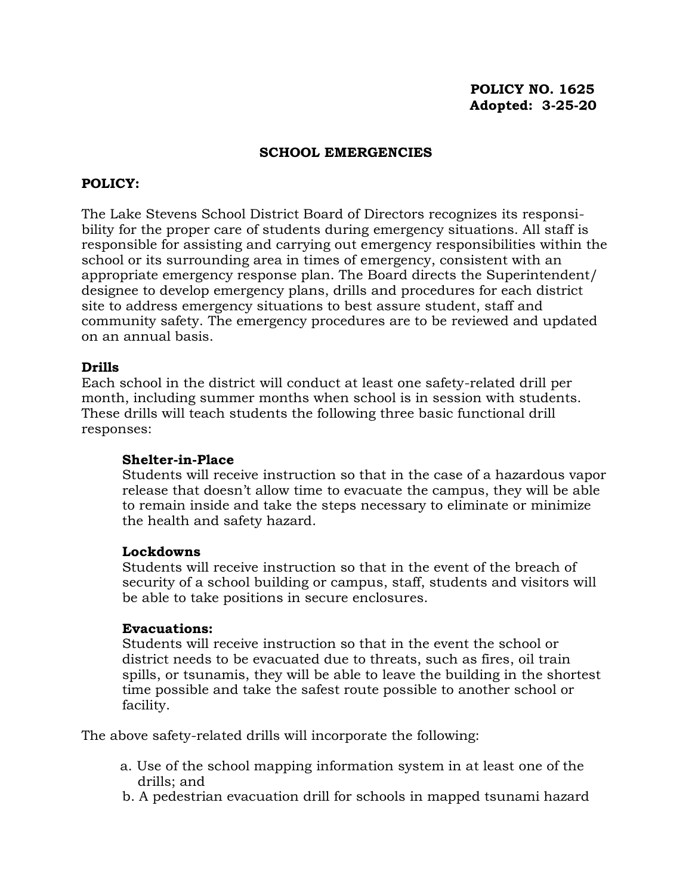#### **SCHOOL EMERGENCIES**

# **POLICY:**

The Lake Stevens School District Board of Directors recognizes its responsibility for the proper care of students during emergency situations. All staff is responsible for assisting and carrying out emergency responsibilities within the school or its surrounding area in times of emergency, consistent with an appropriate emergency response plan. The Board directs the Superintendent/ designee to develop emergency plans, drills and procedures for each district site to address emergency situations to best assure student, staff and community safety. The emergency procedures are to be reviewed and updated on an annual basis.

### **Drills**

Each school in the district will conduct at least one safety-related drill per month, including summer months when school is in session with students. These drills will teach students the following three basic functional drill responses:

#### **Shelter-in-Place**

Students will receive instruction so that in the case of a hazardous vapor release that doesn't allow time to evacuate the campus, they will be able to remain inside and take the steps necessary to eliminate or minimize the health and safety hazard.

#### **Lockdowns**

Students will receive instruction so that in the event of the breach of security of a school building or campus, staff, students and visitors will be able to take positions in secure enclosures.

#### **Evacuations:**

Students will receive instruction so that in the event the school or district needs to be evacuated due to threats, such as fires, oil train spills, or tsunamis, they will be able to leave the building in the shortest time possible and take the safest route possible to another school or facility.

The above safety-related drills will incorporate the following:

- a. Use of the school mapping information system in at least one of the drills; and
- b. A pedestrian evacuation drill for schools in mapped tsunami hazard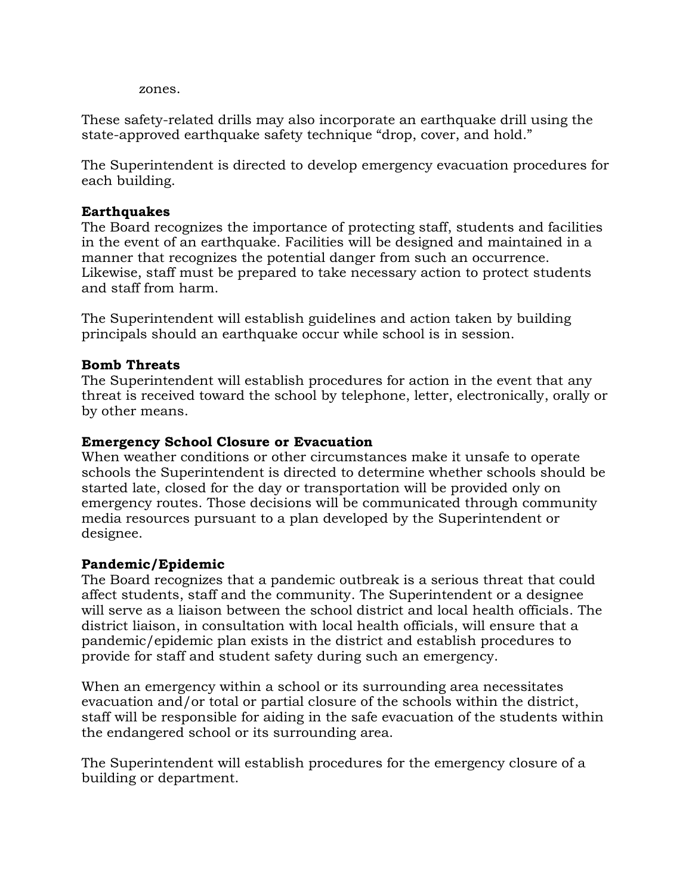zones.

These safety-related drills may also incorporate an earthquake drill using the state-approved earthquake safety technique "drop, cover, and hold."

The Superintendent is directed to develop emergency evacuation procedures for each building.

# **Earthquakes**

The Board recognizes the importance of protecting staff, students and facilities in the event of an earthquake. Facilities will be designed and maintained in a manner that recognizes the potential danger from such an occurrence. Likewise, staff must be prepared to take necessary action to protect students and staff from harm.

The Superintendent will establish guidelines and action taken by building principals should an earthquake occur while school is in session.

### **Bomb Threats**

The Superintendent will establish procedures for action in the event that any threat is received toward the school by telephone, letter, electronically, orally or by other means.

# **Emergency School Closure or Evacuation**

When weather conditions or other circumstances make it unsafe to operate schools the Superintendent is directed to determine whether schools should be started late, closed for the day or transportation will be provided only on emergency routes. Those decisions will be communicated through community media resources pursuant to a plan developed by the Superintendent or designee.

### **Pandemic/Epidemic**

The Board recognizes that a pandemic outbreak is a serious threat that could affect students, staff and the community. The Superintendent or a designee will serve as a liaison between the school district and local health officials. The district liaison, in consultation with local health officials, will ensure that a pandemic/epidemic plan exists in the district and establish procedures to provide for staff and student safety during such an emergency.

When an emergency within a school or its surrounding area necessitates evacuation and/or total or partial closure of the schools within the district, staff will be responsible for aiding in the safe evacuation of the students within the endangered school or its surrounding area.

The Superintendent will establish procedures for the emergency closure of a building or department.